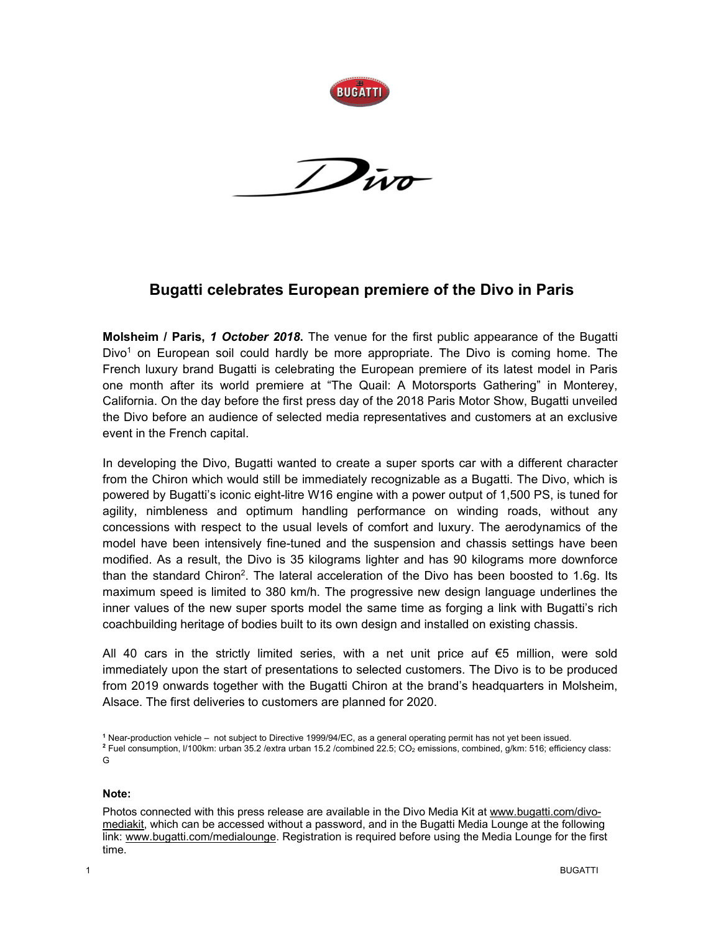

**BUGATTI** 

## **Bugatti celebrates European premiere of the Divo in Paris**

**Molsheim / Paris,** *1 October 2018***.** The venue for the first public appearance of the Bugatti Divo<sup>1</sup> on European soil could hardly be more appropriate. The Divo is coming home. The French luxury brand Bugatti is celebrating the European premiere of its latest model in Paris one month after its world premiere at "The Quail: A Motorsports Gathering" in Monterey, California. On the day before the first press day of the 2018 Paris Motor Show, Bugatti unveiled the Divo before an audience of selected media representatives and customers at an exclusive event in the French capital.

In developing the Divo, Bugatti wanted to create a super sports car with a different character from the Chiron which would still be immediately recognizable as a Bugatti. The Divo, which is powered by Bugatti's iconic eight-litre W16 engine with a power output of 1,500 PS, is tuned for agility, nimbleness and optimum handling performance on winding roads, without any concessions with respect to the usual levels of comfort and luxury. The aerodynamics of the model have been intensively fine-tuned and the suspension and chassis settings have been modified. As a result, the Divo is 35 kilograms lighter and has 90 kilograms more downforce than the standard Chiron<sup>2</sup>. The lateral acceleration of the Divo has been boosted to 1.6g. Its maximum speed is limited to 380 km/h. The progressive new design language underlines the inner values of the new super sports model the same time as forging a link with Bugatti's rich coachbuilding heritage of bodies built to its own design and installed on existing chassis.

All 40 cars in the strictly limited series, with a net unit price auf  $€5$  million, were sold immediately upon the start of presentations to selected customers. The Divo is to be produced from 2019 onwards together with the Bugatti Chiron at the brand's headquarters in Molsheim, Alsace. The first deliveries to customers are planned for 2020.

## **Note:**

Photos connected with this press release are available in the Divo Media Kit at www.bugatti.com/divomediakit, which can be accessed without a password, and in the Bugatti Media Lounge at the following link: www.bugatti.com/medialounge. Registration is required before using the Media Lounge for the first time.

**<sup>1</sup>** Near-production vehicle – not subject to Directive 1999/94/EC, as a general operating permit has not yet been issued. <sup>2</sup> Fuel consumption, I/100km: urban 35.2 /extra urban 15.2 /combined 22.5; CO<sub>2</sub> emissions, combined, g/km: 516; efficiency class: G